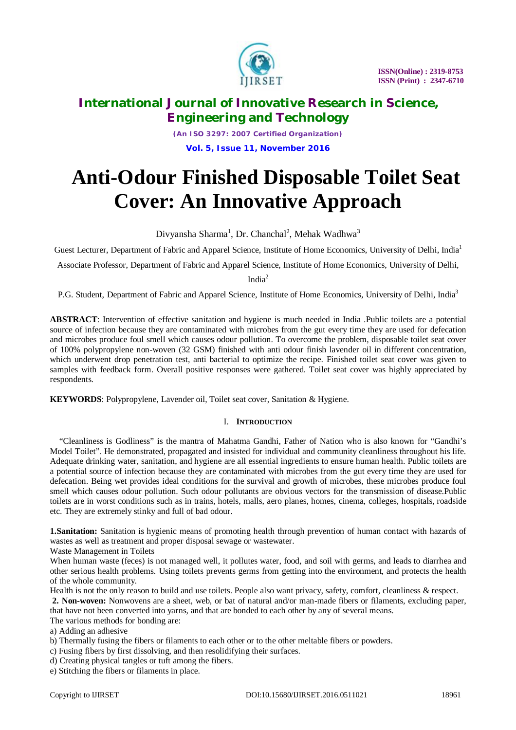

*(An ISO 3297: 2007 Certified Organization)* **Vol. 5, Issue 11, November 2016**

# **Anti-Odour Finished Disposable Toilet Seat Cover: An Innovative Approach**

Divyansha Sharma<sup>1</sup>, Dr. Chanchal<sup>2</sup>, Mehak Wadhwa<sup>3</sup>

Guest Lecturer, Department of Fabric and Apparel Science, Institute of Home Economics, University of Delhi, India<sup>1</sup>

Associate Professor, Department of Fabric and Apparel Science, Institute of Home Economics, University of Delhi,

India<sup>2</sup>

P.G. Student, Department of Fabric and Apparel Science, Institute of Home Economics, University of Delhi, India<sup>3</sup>

**ABSTRACT**: Intervention of effective sanitation and hygiene is much needed in India .Public toilets are a potential source of infection because they are contaminated with microbes from the gut every time they are used for defecation and microbes produce foul smell which causes odour pollution. To overcome the problem, disposable toilet seat cover of 100% polypropylene non-woven (32 GSM) finished with anti odour finish lavender oil in different concentration, which underwent drop penetration test, anti bacterial to optimize the recipe. Finished toilet seat cover was given to samples with feedback form. Overall positive responses were gathered. Toilet seat cover was highly appreciated by respondents.

**KEYWORDS**: Polypropylene, Lavender oil, Toilet seat cover, Sanitation & Hygiene.

# I. **INTRODUCTION**

"Cleanliness is Godliness" is the mantra of Mahatma Gandhi, Father of Nation who is also known for "Gandhi's Model Toilet". He demonstrated, propagated and insisted for individual and community cleanliness throughout his life. Adequate drinking water, sanitation, and hygiene are all essential ingredients to ensure human health. Public toilets are a potential source of infection because they are contaminated with microbes from the gut every time they are used for defecation. Being wet provides ideal conditions for the survival and growth of microbes, these microbes produce foul smell which causes odour pollution. Such odour pollutants are obvious vectors for the transmission of disease.Public toilets are in worst conditions such as in trains, hotels, malls, aero planes, homes, cinema, colleges, hospitals, roadside etc. They are extremely stinky and full of bad odour.

**1.Sanitation:** Sanitation is hygienic means of promoting health through prevention of human contact with hazards of wastes as well as treatment and proper disposal sewage or wastewater.

Waste Management in Toilets

When human waste (feces) is not managed well, it pollutes water, food, and soil with germs, and leads to diarrhea and other serious health problems. Using toilets prevents germs from getting into the environment, and protects the health of the whole community.

Health is not the only reason to build and use toilets. People also want privacy, safety, comfort, cleanliness & respect.

**2. Non-woven:** Nonwovens are a sheet, web, or bat of natural and/or man-made fibers or filaments, excluding paper, that have not been converted into yarns, and that are bonded to each other by any of several means.

The various methods for bonding are:

a) Adding an adhesive

- b) Thermally fusing the fibers or filaments to each other or to the other meltable fibers or powders.
- c) Fusing fibers by first dissolving, and then resolidifying their surfaces.
- d) Creating physical tangles or tuft among the fibers.

e) Stitching the fibers or filaments in place.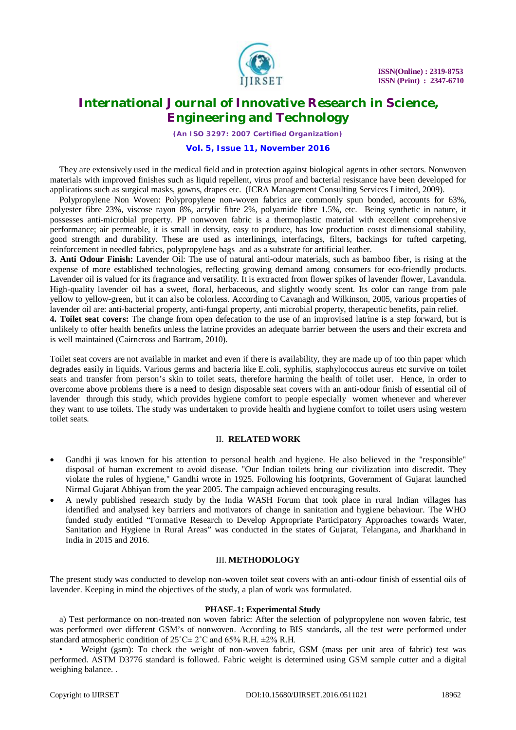

*(An ISO 3297: 2007 Certified Organization)*

### **Vol. 5, Issue 11, November 2016**

They are extensively used in the medical field and in protection against biological agents in other sectors. Nonwoven materials with improved finishes such as liquid repellent, virus proof and bacterial resistance have been developed for applications such as surgical masks, gowns, drapes etc. (ICRA Management Consulting Services Limited, 2009).

Polypropylene Non Woven: Polypropylene non-woven fabrics are commonly spun bonded, accounts for 63%, polyester fibre 23%, viscose rayon 8%, acrylic fibre 2%, polyamide fibre 1.5%, etc. Being synthetic in nature, it possesses anti-microbial property. PP nonwoven fabric is a thermoplastic material with excellent comprehensive performance; air permeable, it is small in density, easy to produce, has low production costst dimensional stability, good strength and durability. These are used as interlinings, interfacings, filters, backings for tufted carpeting, reinforcement in needled fabrics, polypropylene bags and as a substrate for artificial leather.

**3. Anti Odour Finish:** Lavender Oil: The use of natural anti-odour materials, such as bamboo fiber, is rising at the expense of more established technologies, reflecting growing demand among consumers for eco-friendly products. Lavender oil is valued for its fragrance and versatility. It is extracted from flower spikes of lavender flower, Lavandula. High-quality lavender oil has a sweet, floral, herbaceous, and slightly woody scent. Its color can range from pale yellow to yellow-green, but it can also be colorless. According to Cavanagh and Wilkinson, 2005, various properties of lavender oil are: anti-bacterial property, anti-fungal property, anti microbial property, therapeutic benefits, pain relief.

**4. Toilet seat covers:** The change from open defecation to the use of an improvised latrine is a step forward, but is unlikely to offer health benefits unless the latrine provides an adequate barrier between the users and their excreta and is well maintained (Cairncross and Bartram, 2010).

Toilet seat covers are not available in market and even if there is availability, they are made up of too thin paper which degrades easily in liquids. Various germs and bacteria like E.coli, syphilis, staphylococcus aureus etc survive on toilet seats and transfer from person's skin to toilet seats, therefore harming the health of toilet user. Hence, in order to overcome above problems there is a need to design disposable seat covers with an anti-odour finish of essential oil of lavender through this study, which provides hygiene comfort to people especially women whenever and wherever they want to use toilets. The study was undertaken to provide health and hygiene comfort to toilet users using western toilet seats.

#### II. **RELATED WORK**

- Gandhi ji was known for his attention to personal health and hygiene. He also believed in the "responsible" disposal of human excrement to avoid disease. "Our Indian toilets bring our civilization into discredit. They violate the rules of hygiene," Gandhi wrote in 1925. Following his footprints, Government of Gujarat launched Nirmal Gujarat Abhiyan from the year 2005. The campaign achieved encouraging results.
- A newly published research study by the India WASH Forum that took place in rural Indian villages has identified and analysed key barriers and motivators of change in sanitation and hygiene behaviour. The WHO funded study entitled "Formative Research to Develop Appropriate Participatory Approaches towards Water, Sanitation and Hygiene in Rural Areas" was conducted in the states of Gujarat, Telangana, and Jharkhand in India in 2015 and 2016.

#### III. **METHODOLOGY**

The present study was conducted to develop non-woven toilet seat covers with an anti-odour finish of essential oils of lavender. Keeping in mind the objectives of the study, a plan of work was formulated.

#### **PHASE-1: Experimental Study**

a) Test performance on non-treated non woven fabric: After the selection of polypropylene non woven fabric, test was performed over different GSM's of nonwoven. According to BIS standards, all the test were performed under standard atmospheric condition of  $25^{\circ}$ C $\pm$  2°C and 65% R.H.  $\pm$ 2% R.H.

• Weight (gsm): To check the weight of non-woven fabric, GSM (mass per unit area of fabric) test was performed. ASTM D3776 standard is followed. Fabric weight is determined using GSM sample cutter and a digital weighing balance. .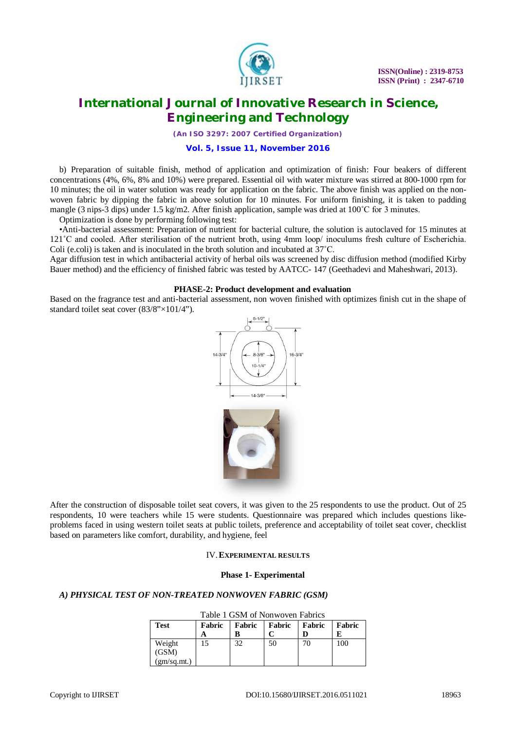

*(An ISO 3297: 2007 Certified Organization)*

## **Vol. 5, Issue 11, November 2016**

b) Preparation of suitable finish, method of application and optimization of finish: Four beakers of different concentrations (4%, 6%, 8% and 10%) were prepared. Essential oil with water mixture was stirred at 800-1000 rpm for 10 minutes; the oil in water solution was ready for application on the fabric. The above finish was applied on the nonwoven fabric by dipping the fabric in above solution for 10 minutes. For uniform finishing, it is taken to padding mangle (3 nips-3 dips) under 1.5 kg/m2. After finish application, sample was dried at  $100^{\circ}$ C for 3 minutes.

Optimization is done by performing following test:

•Anti-bacterial assessment: Preparation of nutrient for bacterial culture, the solution is autoclaved for 15 minutes at 121˚C and cooled. After sterilisation of the nutrient broth, using 4mm loop/ inoculums fresh culture of Escherichia. Coli (e.coli) is taken and is inoculated in the broth solution and incubated at 37˚C.

Agar diffusion test in which antibacterial activity of herbal oils was screened by disc diffusion method (modified Kirby Bauer method) and the efficiency of finished fabric was tested by AATCC- 147 (Geethadevi and Maheshwari, 2013).

### **PHASE-2: Product development and evaluation**

Based on the fragrance test and anti-bacterial assessment, non woven finished with optimizes finish cut in the shape of standard toilet seat cover (83/8"×101/4").



After the construction of disposable toilet seat covers, it was given to the 25 respondents to use the product. Out of 25 respondents, 10 were teachers while 15 were students. Questionnaire was prepared which includes questions likeproblems faced in using western toilet seats at public toilets, preference and acceptability of toilet seat cover, checklist based on parameters like comfort, durability, and hygiene, feel

### IV.**EXPERIMENTAL RESULTS**

#### **Phase 1- Experimental**

### *A) PHYSICAL TEST OF NON-TREATED NONWOVEN FABRIC (GSM)*

| Table 1 GSM of Nonwoven Fabrics |        |        |        |        |        |  |
|---------------------------------|--------|--------|--------|--------|--------|--|
| <b>Test</b>                     | Fabric | Fabric | Fabric | Fabric | Fabric |  |
|                                 |        |        |        |        |        |  |
| Weight                          | 15     | 32     | 50     | 70     | 100    |  |
| (GSM)                           |        |        |        |        |        |  |
| (gm/sq.mt.)                     |        |        |        |        |        |  |

# $T<sub>1</sub>$  is gone on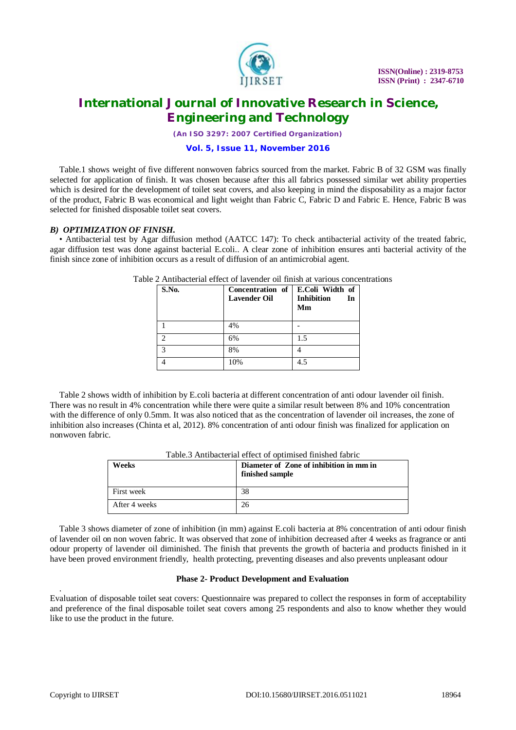

*(An ISO 3297: 2007 Certified Organization)*

## **Vol. 5, Issue 11, November 2016**

Table.1 shows weight of five different nonwoven fabrics sourced from the market. Fabric B of 32 GSM was finally selected for application of finish. It was chosen because after this all fabrics possessed similar wet ability properties which is desired for the development of toilet seat covers, and also keeping in mind the disposability as a major factor of the product, Fabric B was economical and light weight than Fabric C, Fabric D and Fabric E. Hence, Fabric B was selected for finished disposable toilet seat covers.

### *B) OPTIMIZATION OF FINISH.*

• Antibacterial test by Agar diffusion method (AATCC 147): To check antibacterial activity of the treated fabric, agar diffusion test was done against bacterial E.coli.. A clear zone of inhibition ensures anti bacterial activity of the finish since zone of inhibition occurs as a result of diffusion of an antimicrobial agent.

| S.No. | Concentration of<br><b>Lavender Oil</b> | E.Coli Width of<br><b>Inhibition</b><br>In<br>Mm |
|-------|-----------------------------------------|--------------------------------------------------|
|       | 4%                                      |                                                  |
| っ     | 6%                                      | 1.5                                              |
| 2     | 8%                                      |                                                  |
|       | 10%                                     | 4.5                                              |

Table 2 Antibacterial effect of lavender oil finish at various concentrations

Table 2 shows width of inhibition by E.coli bacteria at different concentration of anti odour lavender oil finish. There was no result in 4% concentration while there were quite a similar result between 8% and 10% concentration with the difference of only 0.5mm. It was also noticed that as the concentration of lavender oil increases, the zone of inhibition also increases (Chinta et al, 2012). 8% concentration of anti odour finish was finalized for application on nonwoven fabric.

| Weeks         | Diameter of Zone of inhibition in mm in<br>finished sample |
|---------------|------------------------------------------------------------|
| First week    | 38                                                         |
| After 4 weeks | 26                                                         |

Table 3 shows diameter of zone of inhibition (in mm) against E.coli bacteria at 8% concentration of anti odour finish of lavender oil on non woven fabric. It was observed that zone of inhibition decreased after 4 weeks as fragrance or anti odour property of lavender oil diminished. The finish that prevents the growth of bacteria and products finished in it have been proved environment friendly, health protecting, preventing diseases and also prevents unpleasant odour

#### **Phase 2- Product Development and Evaluation**

. Evaluation of disposable toilet seat covers: Questionnaire was prepared to collect the responses in form of acceptability and preference of the final disposable toilet seat covers among 25 respondents and also to know whether they would like to use the product in the future.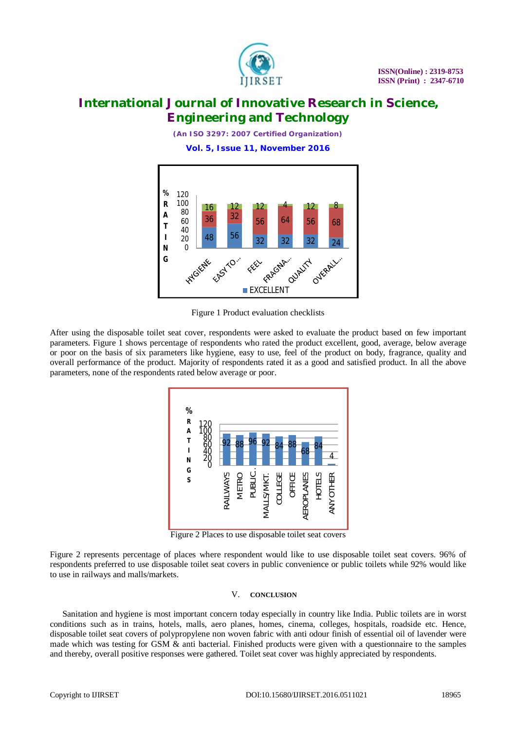

*(An ISO 3297: 2007 Certified Organization)*

**Vol. 5, Issue 11, November 2016**



Figure 1 Product evaluation checklists

After using the disposable toilet seat cover, respondents were asked to evaluate the product based on few important parameters. Figure 1 shows percentage of respondents who rated the product excellent, good, average, below average or poor on the basis of six parameters like hygiene, easy to use, feel of the product on body, fragrance, quality and overall performance of the product. Majority of respondents rated it as a good and satisfied product. In all the above parameters, none of the respondents rated below average or poor.



Figure 2 Places to use disposable toilet seat covers

Figure 2 represents percentage of places where respondent would like to use disposable toilet seat covers. 96% of respondents preferred to use disposable toilet seat covers in public convenience or public toilets while 92% would like to use in railways and malls/markets.

#### V. **CONCLUSION**

Sanitation and hygiene is most important concern today especially in country like India. Public toilets are in worst conditions such as in trains, hotels, malls, aero planes, homes, cinema, colleges, hospitals, roadside etc. Hence, disposable toilet seat covers of polypropylene non woven fabric with anti odour finish of essential oil of lavender were made which was testing for GSM & anti bacterial. Finished products were given with a questionnaire to the samples and thereby, overall positive responses were gathered. Toilet seat cover was highly appreciated by respondents.